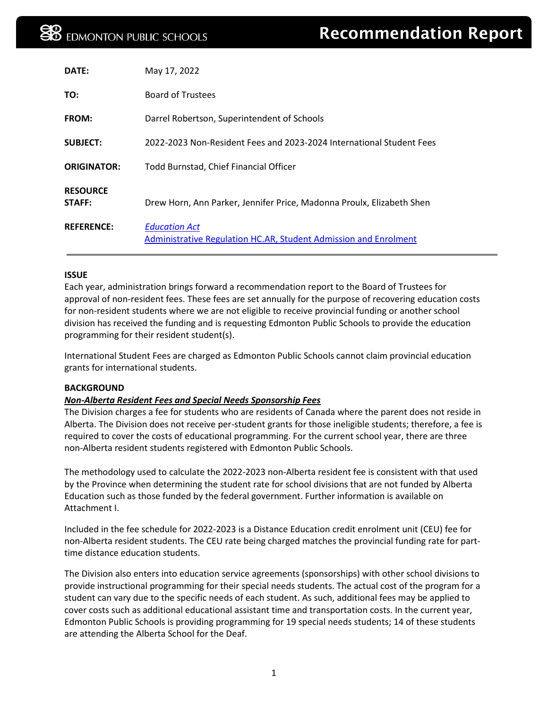| DATE:                     | May 17, 2022                                                                             |
|---------------------------|------------------------------------------------------------------------------------------|
| TO:                       | <b>Board of Trustees</b>                                                                 |
| <b>FROM:</b>              | Darrel Robertson, Superintendent of Schools                                              |
| <b>SUBJECT:</b>           | 2022-2023 Non-Resident Fees and 2023-2024 International Student Fees                     |
| <b>ORIGINATOR:</b>        | Todd Burnstad, Chief Financial Officer                                                   |
| <b>RESOURCE</b><br>STAFF: | Drew Horn, Ann Parker, Jennifer Price, Madonna Proulx, Elizabeth Shen                    |
| <b>REFERENCE:</b>         | <b>Education Act</b><br>Administrative Regulation HC.AR, Student Admission and Enrolment |

#### **ISSUE**

Each year, administration brings forward a recommendation report to the Board of Trustees for approval of non-resident fees. These fees are set annually for the purpose of recovering education costs for non-resident students where we are not eligible to receive provincial funding or another school division has received the funding and is requesting Edmonton Public Schools to provide the education programming for their resident student(s).

International Student Fees are charged as Edmonton Public Schools cannot claim provincial education grants for international students.

#### **BACKGROUND**

# *Non-Alberta Resident Fees and Special Needs Sponsorship Fees*

The Division charges a fee for students who are residents of Canada where the parent does not reside in Alberta. The Division does not receive per-student grants for those ineligible students; therefore, a fee is required to cover the costs of educational programming. For the current school year, there are three non-Alberta resident students registered with Edmonton Public Schools.

The methodology used to calculate the 2022-2023 non-Alberta resident fee is consistent with that used by the Province when determining the student rate for school divisions that are not funded by Alberta Education such as those funded by the federal government. Further information is available on Attachment I.

Included in the fee schedule for 2022-2023 is a Distance Education credit enrolment unit (CEU) fee for non-Alberta resident students. The CEU rate being charged matches the provincial funding rate for parttime distance education students.

The Division also enters into education service agreements (sponsorships) with other school divisions to provide instructional programming for their special needs students. The actual cost of the program for a student can vary due to the specific needs of each student. As such, additional fees may be applied to cover costs such as additional educational assistant time and transportation costs. In the current year, Edmonton Public Schools is providing programming for 19 special needs students; 14 of these students are attending the Alberta School for the Deaf.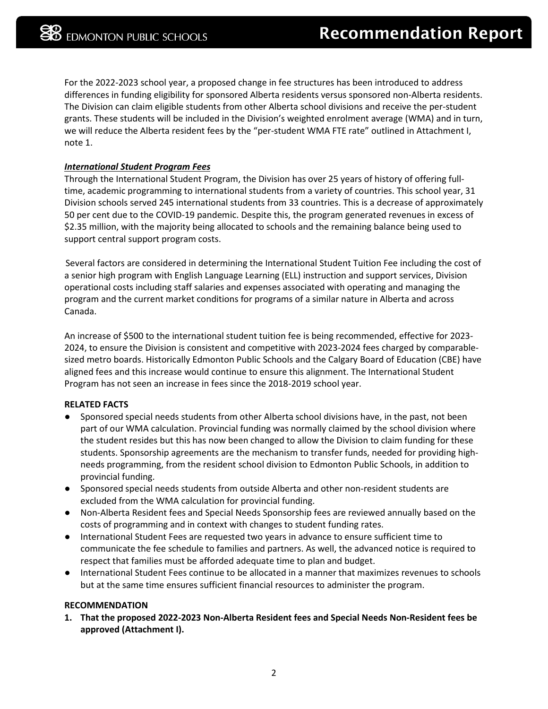For the 2022-2023 school year, a proposed change in fee structures has been introduced to address differences in funding eligibility for sponsored Alberta residents versus sponsored non-Alberta residents. The Division can claim eligible students from other Alberta school divisions and receive the per-student grants. These students will be included in the Division's weighted enrolment average (WMA) and in turn, we will reduce the Alberta resident fees by the "per-student WMA FTE rate" outlined in Attachment I, note 1.

# *International Student Program Fees*

Through the International Student Program, the Division has over 25 years of history of offering fulltime, academic programming to international students from a variety of countries. This school year, 31 Division schools served 245 international students from 33 countries. This is a decrease of approximately 50 per cent due to the COVID-19 pandemic. Despite this, the program generated revenues in excess of \$2.35 million, with the majority being allocated to schools and the remaining balance being used to support central support program costs.

Several factors are considered in determining the International Student Tuition Fee including the cost of a senior high program with English Language Learning (ELL) instruction and support services, Division operational costs including staff salaries and expenses associated with operating and managing the program and the current market conditions for programs of a similar nature in Alberta and across Canada.

An increase of \$500 to the international student tuition fee is being recommended, effective for 2023- 2024, to ensure the Division is consistent and competitive with 2023-2024 fees charged by comparablesized metro boards. Historically Edmonton Public Schools and the Calgary Board of Education (CBE) have aligned fees and this increase would continue to ensure this alignment. The International Student Program has not seen an increase in fees since the 2018-2019 school year.

# **RELATED FACTS**

- Sponsored special needs students from other Alberta school divisions have, in the past, not been part of our WMA calculation. Provincial funding was normally claimed by the school division where the student resides but this has now been changed to allow the Division to claim funding for these students. Sponsorship agreements are the mechanism to transfer funds, needed for providing highneeds programming, from the resident school division to Edmonton Public Schools, in addition to provincial funding.
- Sponsored special needs students from outside Alberta and other non-resident students are excluded from the WMA calculation for provincial funding.
- Non-Alberta Resident fees and Special Needs Sponsorship fees are reviewed annually based on the costs of programming and in context with changes to student funding rates.
- International Student Fees are requested two years in advance to ensure sufficient time to communicate the fee schedule to families and partners. As well, the advanced notice is required to respect that families must be afforded adequate time to plan and budget.
- International Student Fees continue to be allocated in a manner that maximizes revenues to schools but at the same time ensures sufficient financial resources to administer the program.

# **RECOMMENDATION**

**1. That the proposed 2022-2023 Non-Alberta Resident fees and Special Needs Non-Resident fees be approved (Attachment I).**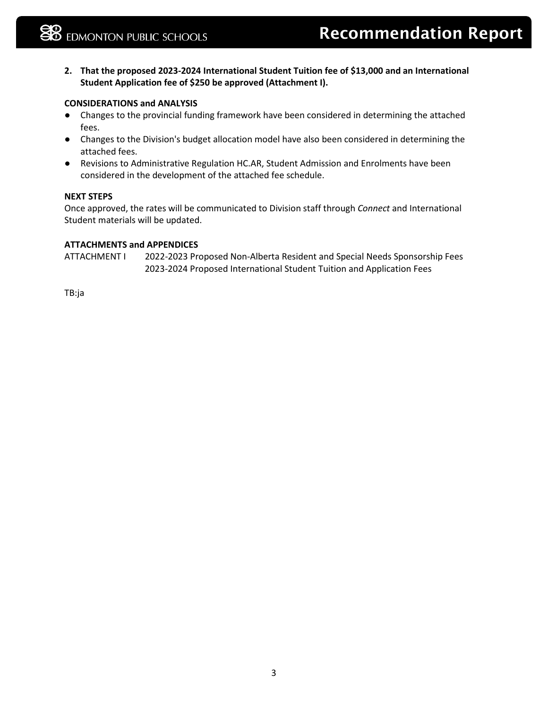**2. That the proposed 2023-2024 International Student Tuition fee of \$13,000 and an International Student Application fee of \$250 be approved (Attachment I).**

# **CONSIDERATIONS and ANALYSIS**

- Changes to the provincial funding framework have been considered in determining the attached fees.
- Changes to the Division's budget allocation model have also been considered in determining the attached fees.
- Revisions to Administrative Regulation HC.AR, Student Admission and Enrolments have been considered in the development of the attached fee schedule.

#### **NEXT STEPS**

Once approved, the rates will be communicated to Division staff through *Connect* and International Student materials will be updated.

#### **ATTACHMENTS and APPENDICES**

ATTACHMENT I 2022-2023 Proposed Non-Alberta Resident and Special Needs Sponsorship Fees 2023-2024 Proposed International Student Tuition and Application Fees

TB:ja